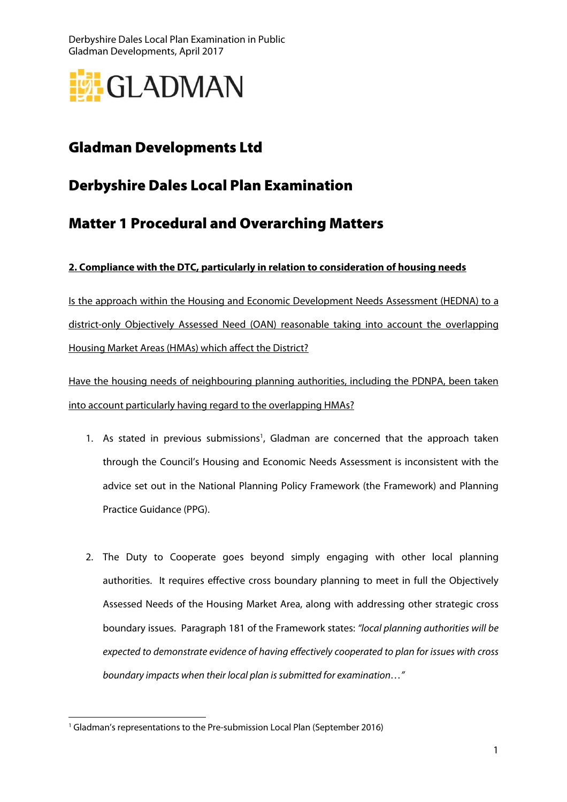

# Gladman Developments Ltd

# Derbyshire Dales Local Plan Examination

### Matter 1 Procedural and Overarching Matters

### **2. Compliance with the DTC, particularly in relation to consideration of housing needs**

Is the approach within the Housing and Economic Development Needs Assessment (HEDNA) to a district-only Objectively Assessed Need (OAN) reasonable taking into account the overlapping Housing Market Areas (HMAs) which affect the District?

Have the housing needs of neighbouring planning authorities, including the PDNPA, been taken into account particularly having regard to the overlapping HMAs?

- 1. As stated in previous submissions<sup>1</sup>, Gladman are concerned that the approach taken through the Council's Housing and Economic Needs Assessment is inconsistent with the advice set out in the National Planning Policy Framework (the Framework) and Planning Practice Guidance (PPG).
- 2. The Duty to Cooperate goes beyond simply engaging with other local planning authorities. It requires effective cross boundary planning to meet in full the Objectively Assessed Needs of the Housing Market Area, along with addressing other strategic cross boundary issues. Paragraph 181 of the Framework states: "local planning authorities will be expected to demonstrate evidence of having effectively cooperated to plan for issues with cross boundary impacts when their local plan is submitted for examination…"

 $\overline{a}$ <sup>1</sup> Gladman's representations to the Pre-submission Local Plan (September 2016)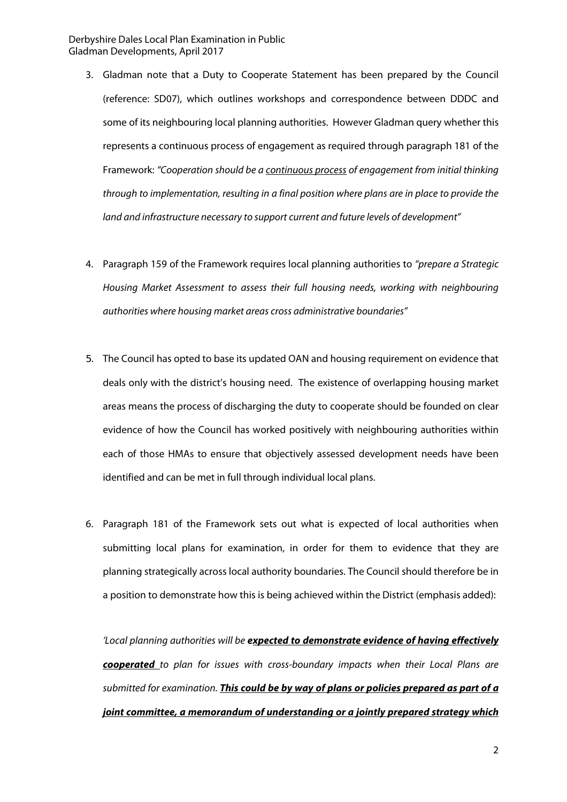- 3. Gladman note that a Duty to Cooperate Statement has been prepared by the Council (reference: SD07), which outlines workshops and correspondence between DDDC and some of its neighbouring local planning authorities. However Gladman query whether this represents a continuous process of engagement as required through paragraph 181 of the Framework: "Cooperation should be a continuous process of engagement from initial thinking through to implementation, resulting in a final position where plans are in place to provide the land and infrastructure necessary to support current and future levels of development"
- 4. Paragraph 159 of the Framework requires local planning authorities to "prepare a Strategic Housing Market Assessment to assess their full housing needs, working with neighbouring authorities where housing market areas cross administrative boundaries"
- 5. The Council has opted to base its updated OAN and housing requirement on evidence that deals only with the district's housing need. The existence of overlapping housing market areas means the process of discharging the duty to cooperate should be founded on clear evidence of how the Council has worked positively with neighbouring authorities within each of those HMAs to ensure that objectively assessed development needs have been identified and can be met in full through individual local plans.
- 6. Paragraph 181 of the Framework sets out what is expected of local authorities when submitting local plans for examination, in order for them to evidence that they are planning strategically across local authority boundaries. The Council should therefore be in a position to demonstrate how this is being achieved within the District (emphasis added):

'Local planning authorities will be **expected to demonstrate evidence of having effectively cooperated** to plan for issues with cross-boundary impacts when their Local Plans are submitted for examination. **This could be by way of plans or policies prepared as part of a joint committee, a memorandum of understanding or a jointly prepared strategy which**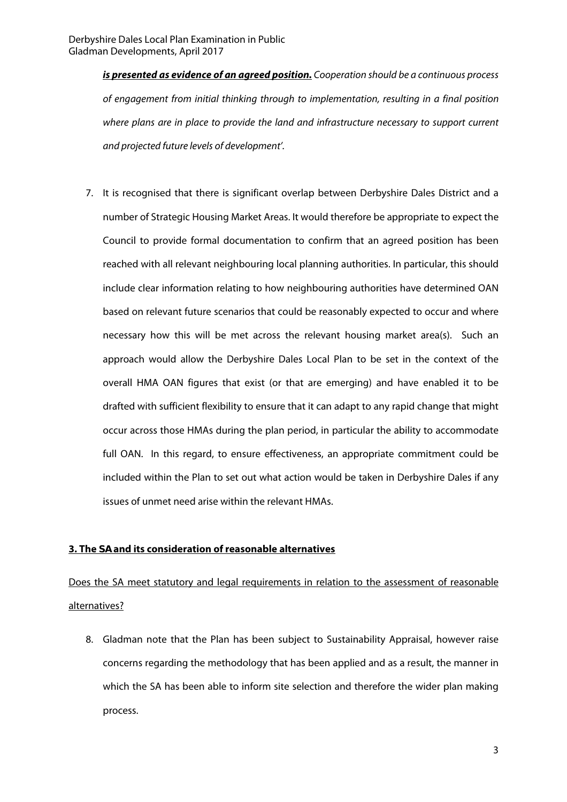**is presented as evidence of an agreed position.** Cooperation should be a continuous process of engagement from initial thinking through to implementation, resulting in a final position where plans are in place to provide the land and infrastructure necessary to support current and projected future levels of development'.

7. It is recognised that there is significant overlap between Derbyshire Dales District and a number of Strategic Housing Market Areas. It would therefore be appropriate to expect the Council to provide formal documentation to confirm that an agreed position has been reached with all relevant neighbouring local planning authorities. In particular, this should include clear information relating to how neighbouring authorities have determined OAN based on relevant future scenarios that could be reasonably expected to occur and where necessary how this will be met across the relevant housing market area(s). Such an approach would allow the Derbyshire Dales Local Plan to be set in the context of the overall HMA OAN figures that exist (or that are emerging) and have enabled it to be drafted with sufficient flexibility to ensure that it can adapt to any rapid change that might occur across those HMAs during the plan period, in particular the ability to accommodate full OAN. In this regard, to ensure effectiveness, an appropriate commitment could be included within the Plan to set out what action would be taken in Derbyshire Dales if any issues of unmet need arise within the relevant HMAs.

### **3. The SA and its consideration of reasonable alternatives**

## Does the SA meet statutory and legal requirements in relation to the assessment of reasonable alternatives?

8. Gladman note that the Plan has been subject to Sustainability Appraisal, however raise concerns regarding the methodology that has been applied and as a result, the manner in which the SA has been able to inform site selection and therefore the wider plan making process.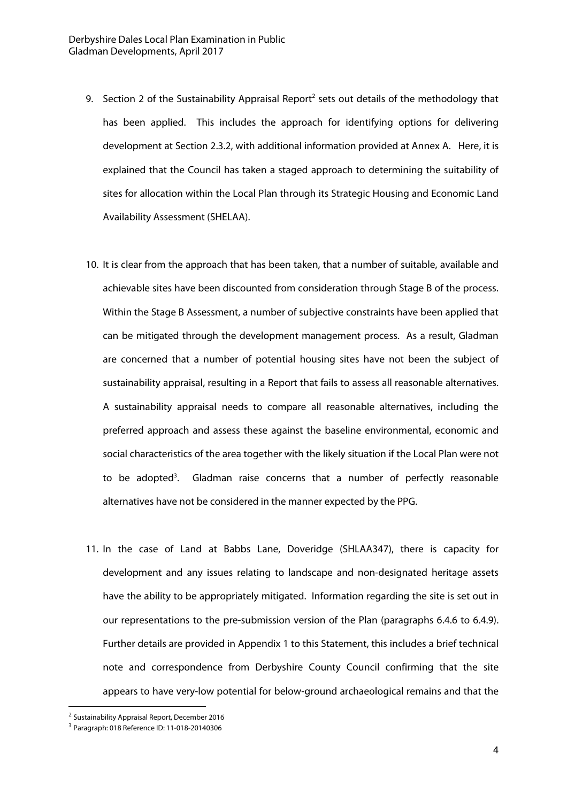- 9. Section 2 of the Sustainability Appraisal Report<sup>2</sup> sets out details of the methodology that has been applied. This includes the approach for identifying options for delivering development at Section 2.3.2, with additional information provided at Annex A. Here, it is explained that the Council has taken a staged approach to determining the suitability of sites for allocation within the Local Plan through its Strategic Housing and Economic Land Availability Assessment (SHELAA).
- 10. It is clear from the approach that has been taken, that a number of suitable, available and achievable sites have been discounted from consideration through Stage B of the process. Within the Stage B Assessment, a number of subjective constraints have been applied that can be mitigated through the development management process. As a result, Gladman are concerned that a number of potential housing sites have not been the subject of sustainability appraisal, resulting in a Report that fails to assess all reasonable alternatives. A sustainability appraisal needs to compare all reasonable alternatives, including the preferred approach and assess these against the baseline environmental, economic and social characteristics of the area together with the likely situation if the Local Plan were not to be adopted<sup>3</sup>. . Gladman raise concerns that a number of perfectly reasonable alternatives have not be considered in the manner expected by the PPG.
- 11. In the case of Land at Babbs Lane, Doveridge (SHLAA347), there is capacity for development and any issues relating to landscape and non-designated heritage assets have the ability to be appropriately mitigated. Information regarding the site is set out in our representations to the pre-submission version of the Plan (paragraphs 6.4.6 to 6.4.9). Further details are provided in Appendix 1 to this Statement, this includes a brief technical note and correspondence from Derbyshire County Council confirming that the site appears to have very-low potential for below-ground archaeological remains and that the

 $\overline{a}$ 

<sup>2</sup> Sustainability Appraisal Report, December 2016

<sup>3</sup> Paragraph: 018 Reference ID: 11-018-20140306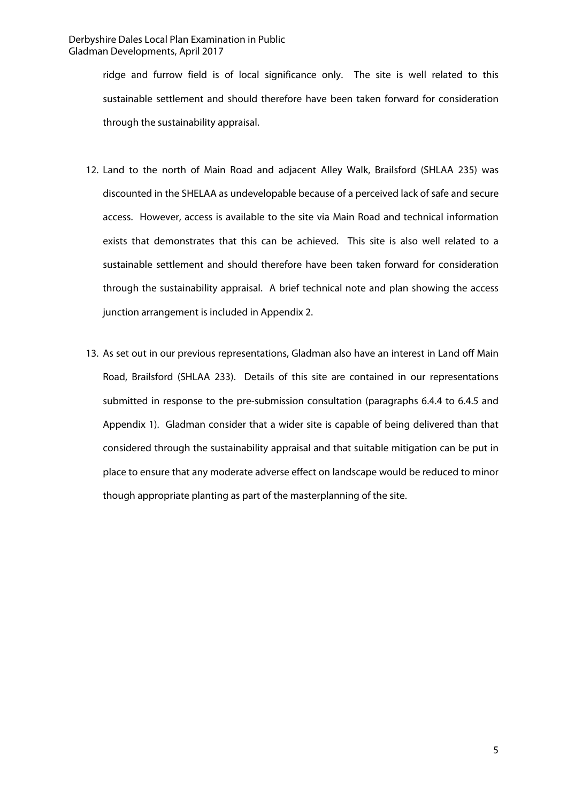ridge and furrow field is of local significance only. The site is well related to this sustainable settlement and should therefore have been taken forward for consideration through the sustainability appraisal.

- 12. Land to the north of Main Road and adjacent Alley Walk, Brailsford (SHLAA 235) was discounted in the SHELAA as undevelopable because of a perceived lack of safe and secure access. However, access is available to the site via Main Road and technical information exists that demonstrates that this can be achieved. This site is also well related to a sustainable settlement and should therefore have been taken forward for consideration through the sustainability appraisal. A brief technical note and plan showing the access junction arrangement is included in Appendix 2.
- 13. As set out in our previous representations, Gladman also have an interest in Land off Main Road, Brailsford (SHLAA 233). Details of this site are contained in our representations submitted in response to the pre-submission consultation (paragraphs 6.4.4 to 6.4.5 and Appendix 1). Gladman consider that a wider site is capable of being delivered than that considered through the sustainability appraisal and that suitable mitigation can be put in place to ensure that any moderate adverse effect on landscape would be reduced to minor though appropriate planting as part of the masterplanning of the site.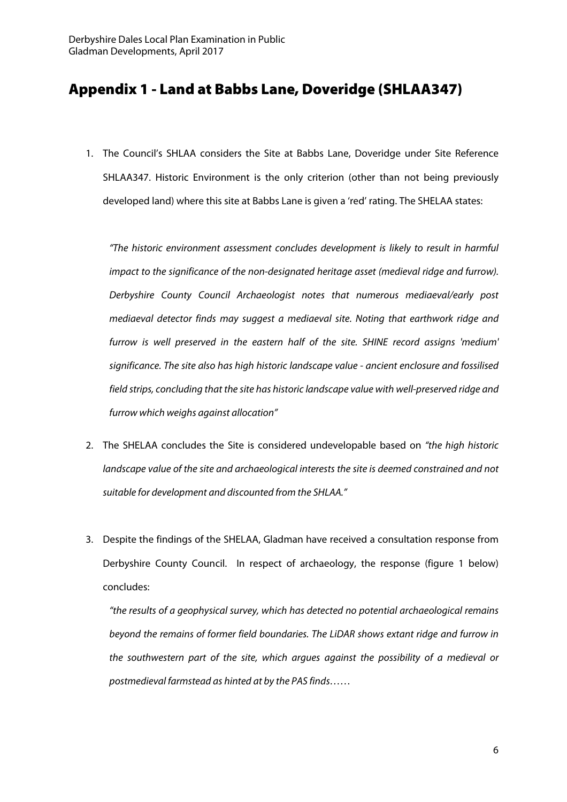### Appendix 1 - Land at Babbs Lane, Doveridge (SHLAA347)

1. The Council's SHLAA considers the Site at Babbs Lane, Doveridge under Site Reference SHLAA347. Historic Environment is the only criterion (other than not being previously developed land) where this site at Babbs Lane is given a 'red' rating. The SHELAA states:

"The historic environment assessment concludes development is likely to result in harmful impact to the significance of the non-designated heritage asset (medieval ridge and furrow). Derbyshire County Council Archaeologist notes that numerous mediaeval/early post mediaeval detector finds may suggest a mediaeval site. Noting that earthwork ridge and furrow is well preserved in the eastern half of the site. SHINE record assigns 'medium' significance. The site also has high historic landscape value - ancient enclosure and fossilised field strips, concluding that the site has historic landscape value with well-preserved ridge and furrow which weighs against allocation"

- 2. The SHELAA concludes the Site is considered undevelopable based on "the high historic landscape value of the site and archaeological interests the site is deemed constrained and not suitable for development and discounted from the SHLAA."
- 3. Despite the findings of the SHELAA, Gladman have received a consultation response from Derbyshire County Council. In respect of archaeology, the response (figure 1 below) concludes:

"the results of a geophysical survey, which has detected no potential archaeological remains beyond the remains of former field boundaries. The LiDAR shows extant ridge and furrow in the southwestern part of the site, which argues against the possibility of a medieval or postmedieval farmstead as hinted at by the PAS finds……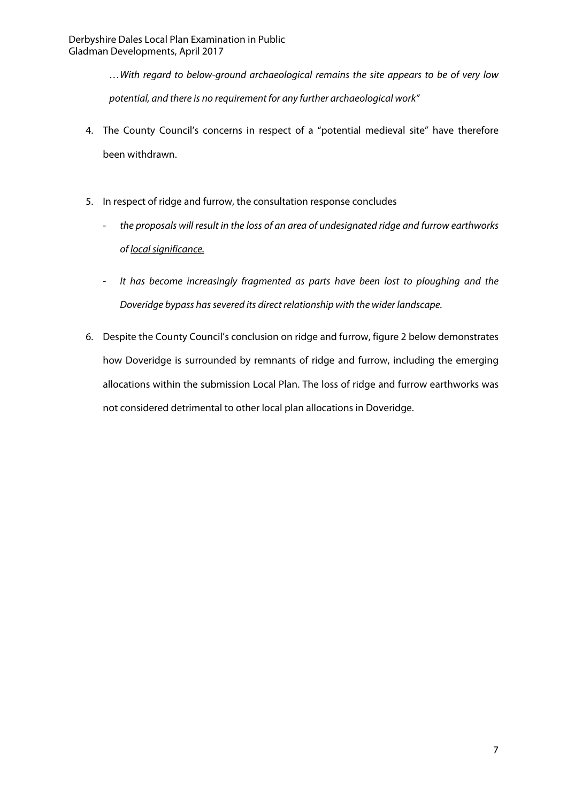…With regard to below-ground archaeological remains the site appears to be of very low potential, and there is no requirement for any further archaeological work"

- 4. The County Council's concerns in respect of a "potential medieval site" have therefore been withdrawn.
- 5. In respect of ridge and furrow, the consultation response concludes
	- the proposals will result in the loss of an area of undesignated ridge and furrow earthworks of local significance.
	- It has become increasingly fragmented as parts have been lost to ploughing and the Doveridge bypass has severed its direct relationship with the wider landscape.
- 6. Despite the County Council's conclusion on ridge and furrow, figure 2 below demonstrates how Doveridge is surrounded by remnants of ridge and furrow, including the emerging allocations within the submission Local Plan. The loss of ridge and furrow earthworks was not considered detrimental to other local plan allocations in Doveridge.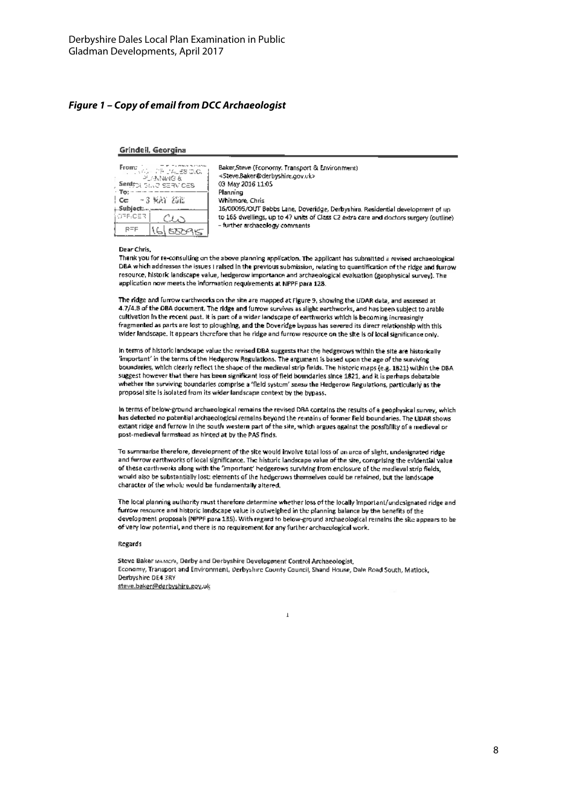#### **Figure 1 – Copy of email from DCC Archaeologist**

#### Grindell, Georgina

| From:<br>HAR D'AL 28 O.C.<br>光热器的复数<br>Sentrol Save SERVICES<br>To: |  |
|---------------------------------------------------------------------|--|
| - 3 MAY 258<br>Cc.<br>Subject:…                                     |  |
| OFF-CER                                                             |  |
| 556A                                                                |  |

Baker Steve (Economy, Transport & Environment) <Steve.Baker@derbyshire.gov.ck> 03 May 2016 11:05 Planning Whitmare, Chris 16/00095/OUT Babbs Lane, Doveridge, Derbyshira. Residential development of up to 165 dwellings, up to 47 units of Class C2 extra care and doctors surgery (outline). - further archaeology comments

#### Dear Chris.

Thank you for re-consulting on the above planning application. The applicant has submitted a revised archaeological DBA which addresses the issues I raised in the previous submission, relating to quantification of the ridge and furrow resource, historic landscape value, hedgerow importance and archaeological evaluation (geophysical survey). The application now meets the information requirements at NPPF para 128.

The ridge and furrow earthworks on the site are mapped at Figure 9. showing the LiDAR data, and assessed at 4.7/4.8 of the DBA document. The ridge and furrow survives as slight earthworks, and has been subject to arable cultivation in the recent past. It is part of a wider landscape of earthworks which is becoming increasingly fragmented as parts are fost to ploughing, and the Doveridge bypass has severed its direct relationship with this wider landscape. It appears therefore that he ridge and furrow resource on the site is of local significance only.

In terms of historic landscape value the revised DBA suggests that the hedgerows within the site are historically "important" in the terms of the Hedgerow Regulations. The argument is based upon the age of the surviving boundaries, which clearly reflect the shape of the medieval strip fields. The historic maps (e.g. 1B21) within the DBA suggest however that there has been significant loss of field boundaries since 1821, and it is perhaps debatable whether the surviving boundarles comprise a 'field system' sensu the Hedgerow Regulations, particularly as the proposal site is isolated from its wider landscape context by the bypass.

In terms of below-ground archaeological remains the revised DRA contains the results of a geophysical survey, which has detected no potential archaeological remains beyond the remains of former field boundaries. The UDAR shows extant ridge and furrow in the south western part of the site, which argues against the possibility of a medieval or post-medieval farmstead as hinted at by the PAS finds.

To summarise therefore, development of the site would involve total loss of an area of slight, undesignated ridge and furrow earthworks of local significance. The historic landscape value of the site, comprising the evidential value of these carthworks along with the 'important' hedgerows surviving from enclosure of the medieval strip fields. would also be substantially lost: elements of the hedgerows themselves could be retained, but the landscape character of the whole would be fundamentally altered.

The local planning authority must therefore determine whether loss of the locally important/undesignated ridge and furrow resource and historic landscape value is outweighed in the planning balance by the benefits of the development proposals (NPPF para 135). With regard to below-ground archaeological remains the site appears to be of very low notential, and there is no requirement for any further archaeological work.

#### Regards

Steve Baker manners, Darby and Derbyshire Development Control Archaeologist, Economy, Transport and Environment, Derbyshire County Council, Shand House, Dale Road South, Matlock, Derbyshire DE4 3RY steve.baker@derbvshire.gov.uk

 $\mathbf{I}$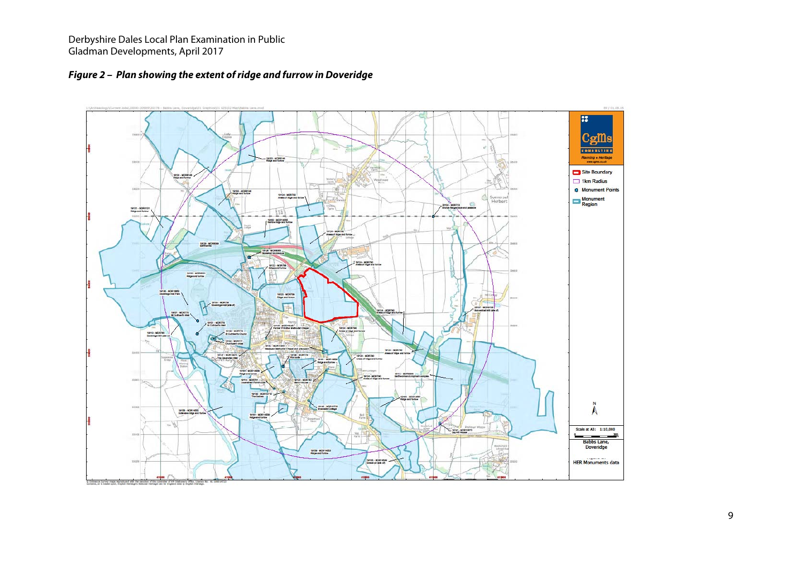

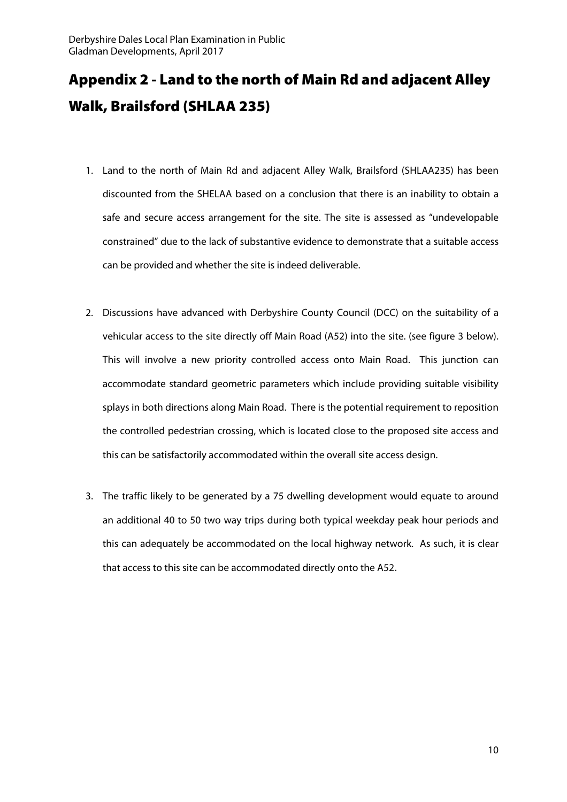# Appendix 2 - Land to the north of Main Rd and adjacent Alley Walk, Brailsford (SHLAA 235)

- 1. Land to the north of Main Rd and adjacent Alley Walk, Brailsford (SHLAA235) has been discounted from the SHELAA based on a conclusion that there is an inability to obtain a safe and secure access arrangement for the site. The site is assessed as "undevelopable constrained" due to the lack of substantive evidence to demonstrate that a suitable access can be provided and whether the site is indeed deliverable.
- 2. Discussions have advanced with Derbyshire County Council (DCC) on the suitability of a vehicular access to the site directly off Main Road (A52) into the site. (see figure 3 below). This will involve a new priority controlled access onto Main Road. This junction can accommodate standard geometric parameters which include providing suitable visibility splays in both directions along Main Road. There is the potential requirement to reposition the controlled pedestrian crossing, which is located close to the proposed site access and this can be satisfactorily accommodated within the overall site access design.
- 3. The traffic likely to be generated by a 75 dwelling development would equate to around an additional 40 to 50 two way trips during both typical weekday peak hour periods and this can adequately be accommodated on the local highway network. As such, it is clear that access to this site can be accommodated directly onto the A52.